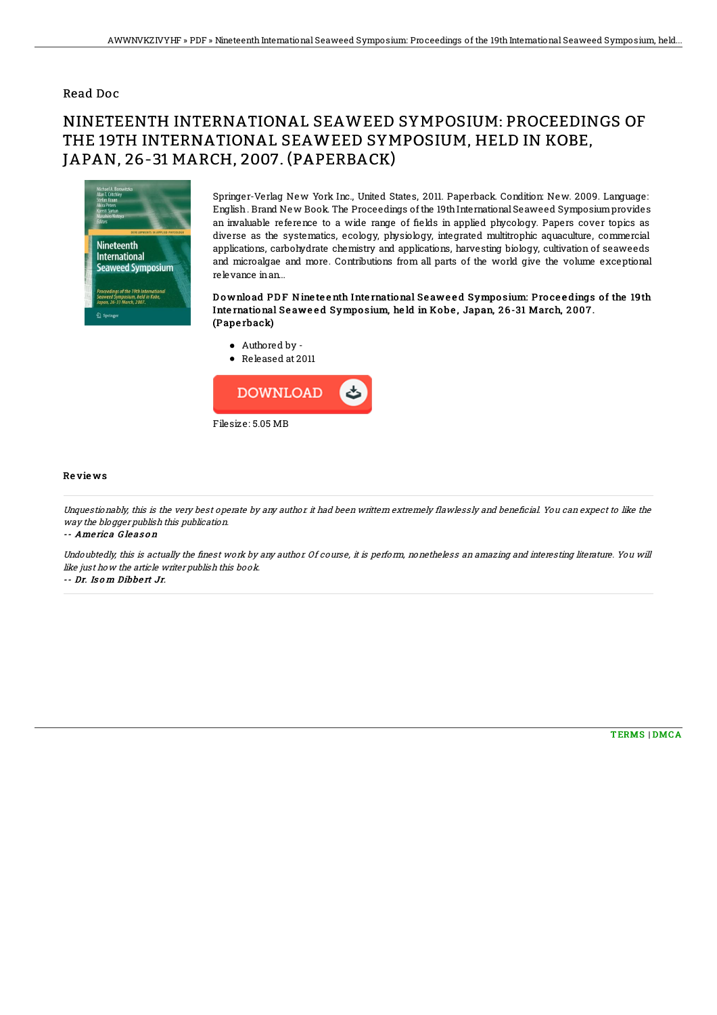## Read Doc

## NINETEENTH INTERNATIONAL SEAWEED SYMPOSIUM: PROCEEDINGS OF THE 19TH INTERNATIONAL SEAWEED SYMPOSIUM, HELD IN KOBE, JAPAN, 26-31 MARCH, 2007. (PAPERBACK)



Springer-Verlag New York Inc., United States, 2011. Paperback. Condition: New. 2009. Language: English. Brand New Book. The Proceedings of the 19thInternational Seaweed Symposiumprovides an invaluable reference to a wide range of fields in applied phycology. Papers cover topics as diverse as the systematics, ecology, physiology, integrated multitrophic aquaculture, commercial applications, carbohydrate chemistry and applications, harvesting biology, cultivation of seaweeds and microalgae and more. Contributions from all parts of the world give the volume exceptional relevance inan...

Download PDF Nine teenth International Seaweed Symposium: Proceedings of the 19th International Seaweed Symposium, held in Kobe, Japan, 26-31 March, 2007. (Pape rback)

Authored by - Released at 2011



## Re vie ws

Unquestionably, this is the very best operate by any author it had been writtern extremely flawlessly and beneficial. You can expect to like the way the blogger publish this publication.

-- Ame ric a G le as o <sup>n</sup>

Undoubtedly, this is actually the finest work by any author. Of course, it is perform, nonetheless an amazing and interesting literature. You will like just how the article writer publish this book.

-- Dr. Is o <sup>m</sup> Dibbe rt Jr.